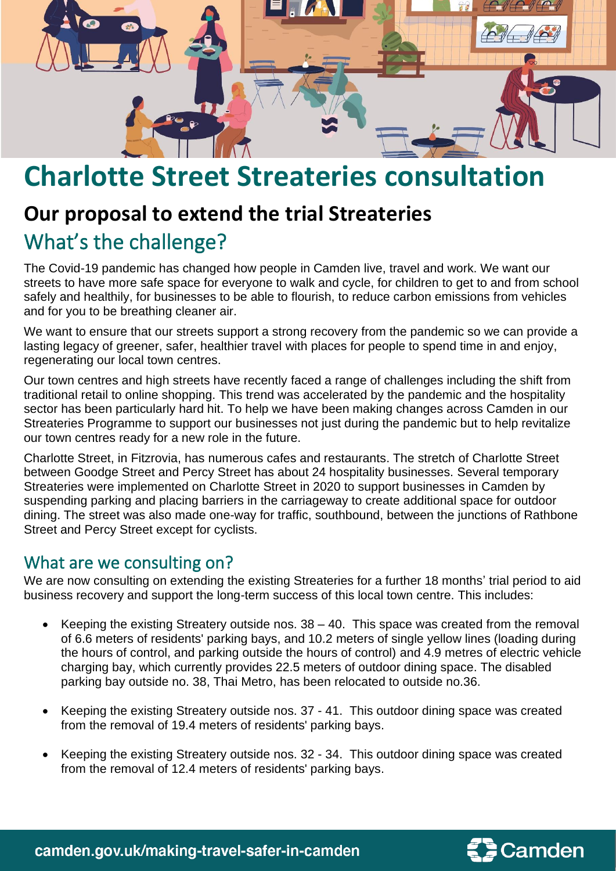

## **Charlotte Street Streateries consultation**

## **Our proposal to extend the trial Streateries** What's the challenge?

The Covid-19 pandemic has changed how people in Camden live, travel and work. We want our streets to have more safe space for everyone to walk and cycle, for children to get to and from school safely and healthily, for businesses to be able to flourish, to reduce carbon emissions from vehicles and for you to be breathing cleaner air.

We want to ensure that our streets support a strong recovery from the pandemic so we can provide a lasting legacy of greener, safer, healthier travel with places for people to spend time in and enjoy, regenerating our local town centres.

Our town centres and high streets have recently faced a range of challenges including the shift from traditional retail to online shopping. This trend was accelerated by the pandemic and the hospitality sector has been particularly hard hit. To help we have been making changes across Camden in our Streateries Programme to support our businesses not just during the pandemic but to help revitalize our town centres ready for a new role in the future.

Charlotte Street, in Fitzrovia, has numerous cafes and restaurants. The stretch of Charlotte Street between Goodge Street and Percy Street has about 24 hospitality businesses. Several temporary Streateries were implemented on Charlotte Street in 2020 to support businesses in Camden by suspending parking and placing barriers in the carriageway to create additional space for outdoor dining. The street was also made one-way for traffic, southbound, between the junctions of Rathbone Street and Percy Street except for cyclists.

## What are we consulting on?

We are now consulting on extending the existing Streateries for a further 18 months' trial period to aid business recovery and support the long-term success of this local town centre. This includes:

- Keeping the existing Streatery outside nos.  $38 40$ . This space was created from the removal of 6.6 meters of residents' parking bays, and 10.2 meters of single yellow lines (loading during the hours of control, and parking outside the hours of control) and 4.9 metres of electric vehicle charging bay, which currently provides 22.5 meters of outdoor dining space. The disabled parking bay outside no. 38, Thai Metro, has been relocated to outside no.36.
- Keeping the existing Streatery outside nos. 37 41. This outdoor dining space was created from the removal of 19.4 meters of residents' parking bays.
- Keeping the existing Streatery outside nos. 32 34. This outdoor dining space was created from the removal of 12.4 meters of residents' parking bays.